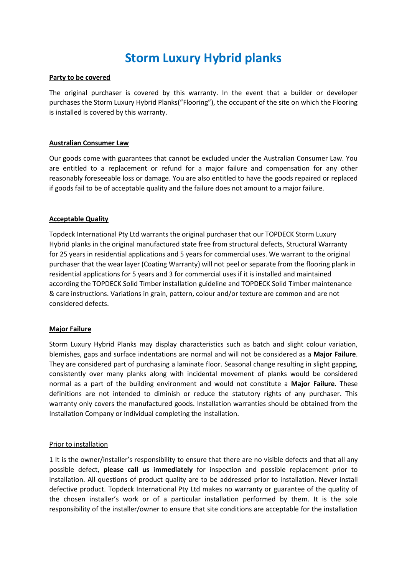# **Storm Luxury Hybrid planks**

## **Party to be covered**

The original purchaser is covered by this warranty. In the event that a builder or developer purchases the Storm Luxury Hybrid Planks("Flooring"), the occupant of the site on which the Flooring is installed is covered by this warranty.

### **Australian Consumer Law**

Our goods come with guarantees that cannot be excluded under the Australian Consumer Law. You are entitled to a replacement or refund for a major failure and compensation for any other reasonably foreseeable loss or damage. You are also entitled to have the goods repaired or replaced if goods fail to be of acceptable quality and the failure does not amount to a major failure.

### **Acceptable Quality**

Topdeck International Pty Ltd warrants the original purchaser that our TOPDECK Storm Luxury Hybrid planks in the original manufactured state free from structural defects, Structural Warranty for 25 years in residential applications and 5 years for commercial uses. We warrant to the original purchaser that the wear layer (Coating Warranty) will not peel or separate from the flooring plank in residential applications for 5 years and 3 for commercial uses if it is installed and maintained according the TOPDECK Solid Timber installation guideline and TOPDECK Solid Timber maintenance & care instructions. Variations in grain, pattern, colour and/or texture are common and are not considered defects.

#### **Major Failure**

Storm Luxury Hybrid Planks may display characteristics such as batch and slight colour variation, blemishes, gaps and surface indentations are normal and will not be considered as a **Major Failure**. They are considered part of purchasing a laminate floor. Seasonal change resulting in slight gapping, consistently over many planks along with incidental movement of planks would be considered normal as a part of the building environment and would not constitute a **Major Failure**. These definitions are not intended to diminish or reduce the statutory rights of any purchaser. This warranty only covers the manufactured goods. Installation warranties should be obtained from the Installation Company or individual completing the installation.

#### Prior to installation

1 It is the owner/installer's responsibility to ensure that there are no visible defects and that all any possible defect, **please call us immediately** for inspection and possible replacement prior to installation. All questions of product quality are to be addressed prior to installation. Never install defective product. Topdeck International Pty Ltd makes no warranty or guarantee of the quality of the chosen installer's work or of a particular installation performed by them. It is the sole responsibility of the installer/owner to ensure that site conditions are acceptable for the installation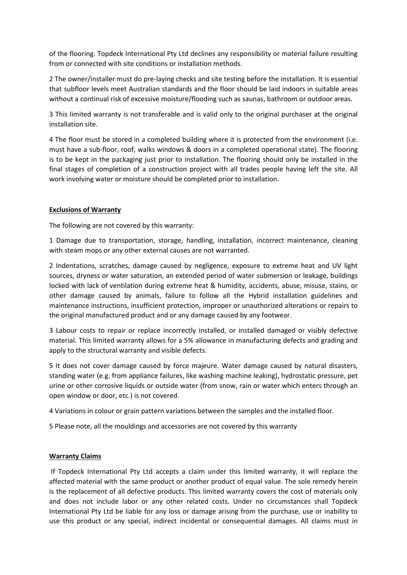of the flooring. Topdeck International Pty Ltd declines any responsibility or material failure resulting from or connected with site conditions or installation methods.

2 The owner/installer must do pre-laying checks and site testing before the installation. It is essential that subfloor levels meet Australian standards and the floor should be laid indoors in suitable areas without a continual risk of excessive moisture/flooding such as saunas, bathroom or outdoor areas.

3 This limited warranty is not transferable and is valid only to the original purchaser at the original installation site.

4 The floor must be stored in a completed building where it is protected from the environment (i.e. must have a sub-floor, roof, walks windows & doors in a completed operational state). The flooring is to be kept in the packaging just prior to installation. The flooring should only be installed in the final stages of completion of a construction project with all trades people having left the site. All work involving water or moisture should be completed prior to installation.

## **Exclusions of Warranty**

The following are not covered by this warranty:

1 Damage due to transportation, storage, handling, installation, incorrect maintenance, cleaning with steam mops or any other external causes are not warranted.

2 Indentations, scratches, damage caused by negligence, exposure to extreme heat and UV light sources, dryness or water saturation, an extended period of water submersion or leakage, buildings locked with lack of ventilation during extreme heat & humidity, accidents, abuse, misuse, stains, or other damage caused by animals, failure to follow all the Hybrid installation guidelines and maintenance instructions, insufficient protection, improper or unauthorized alterations or repairs to the original manufactured product and or any damage caused by any footwear.

3 Labour costs to repair or replace incorrectly installed, or installed damaged or visibly defective material. This limited warranty allows for a 5% allowance in manufacturing defects and grading and apply to the structural warranty and visible defects.

5 It does not cover damage caused by force majeure. Water damage caused by natural disasters, standing water (e.g. from appliance failures, like washing machine leaking), hydrostatic pressure, pet urine or other corrosive liquids or outside water (from snow, rain or water which enters through an open window or door, etc.) is not covered.

4 Variations in colour or grain pattern variations between the samples and the installed floor.

5 Please note, all the mouldings and accessories are not covered by this warranty

# **Warranty Claims**

If Topdeck International Pty Ltd accepts a claim under this limited warranty, it will replace the affected material with the same product or another product of equal value. The sole remedy herein is the replacement of all defective products. This limited warranty covers the cost of materials only and does not include labor or any other related costs. Under no circumstances shall Topdeck International Pty Ltd be liable for any loss or damage arising from the purchase, use or inability to use this product or any special, indirect incidental or consequential damages. All claims must in